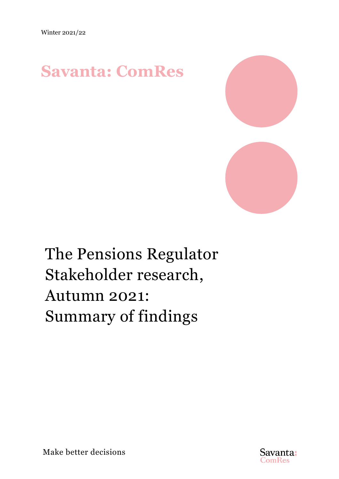## **Savanta: ComRes**



# The Pensions Regulator Stakeholder research, Autumn 2021: Summary of findings



Make better decisions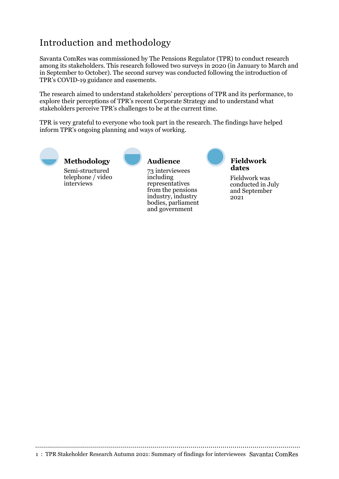## Introduction and methodology

Savanta ComRes was commissioned by The Pensions Regulator (TPR) to conduct research among its stakeholders. This research followed two surveys in 2020 (in January to March and in September to October). The second survey was conducted following the introduction of TPR's COVID-19 guidance and easements.

The research aimed to understand stakeholders' perceptions of TPR and its performance, to explore their perceptions of TPR's recent Corporate Strategy and to understand what stakeholders perceive TPR's challenges to be at the current time.

TPR is very grateful to everyone who took part in the research. The findings have helped inform TPR's ongoing planning and ways of working.



Semi-structured telephone / video interviews **Methodology**



73 interviewees including representatives from the pensions industry, industry bodies, parliament and government



**Fieldwork dates**

Fieldwork was conducted in July and September 2021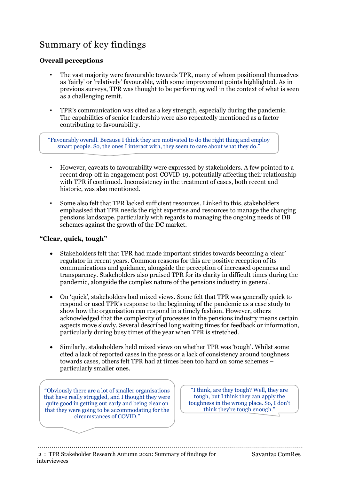## Summary of key findings

#### **Overall perceptions**

- The vast majority were favourable towards TPR, many of whom positioned themselves as 'fairly' or 'relatively' favourable, with some improvement points highlighted. As in previous surveys, TPR was thought to be performing well in the context of what is seen as a challenging remit.
- TPR's communication was cited as a key strength, especially during the pandemic. The capabilities of senior leadership were also repeatedly mentioned as a factor contributing to favourability.

"Favourably overall. Because I think they are motivated to do the right thing and employ smart people. So, the ones I interact with, they seem to care about what they do."

- However, caveats to favourability were expressed by stakeholders. A few pointed to a recent drop-off in engagement post-COVID-19, potentially affecting their relationship with TPR if continued. Inconsistency in the treatment of cases, both recent and historic, was also mentioned.
- Some also felt that TPR lacked sufficient resources. Linked to this, stakeholders emphasised that TPR needs the right expertise and resources to manage the changing pensions landscape, particularly with regards to managing the ongoing needs of DB schemes against the growth of the DC market.

#### **"Clear, quick, tough"**

- Stakeholders felt that TPR had made important strides towards becoming a 'clear' regulator in recent years. Common reasons for this are positive reception of its communications and guidance, alongside the perception of increased openness and transparency. Stakeholders also praised TPR for its clarity in difficult times during the pandemic, alongside the complex nature of the pensions industry in general.
- On 'quick', stakeholders had mixed views. Some felt that TPR was generally quick to respond or used TPR's response to the beginning of the pandemic as a case study to show how the organisation can respond in a timely fashion. However, others acknowledged that the complexity of processes in the pensions industry means certain aspects move slowly. Several described long waiting times for feedback or information, particularly during busy times of the year when TPR is stretched.
- Similarly, stakeholders held mixed views on whether TPR was 'tough'. Whilst some cited a lack of reported cases in the press or a lack of consistency around toughness towards cases, others felt TPR had at times been too hard on some schemes – particularly smaller ones.

"Obviously there are a lot of smaller organisations that have really struggled, and I thought they were quite good in getting out early and being clear on that they were going to be accommodating for the circumstances of COVID."

"I think, are they tough? Well, they are tough, but I think they can apply the toughness in the wrong place. So, I don't think they're tough enough."

2 : TPR Stakeholder Research Autumn 2021: Summary of findings for Savanta**:** ComRes interviewees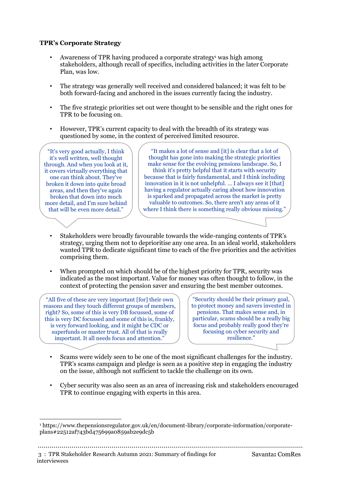#### **TPR's Corporate Strategy**

- Awareness of TPR having produced a corporate strategy<sup>[1](#page-3-0)</sup> was high among stakeholders, although recall of specifics, including activities in the later Corporate Plan, was low.
- The strategy was generally well received and considered balanced; it was felt to be both forward-facing and anchored in the issues currently facing the industry.
- The five strategic priorities set out were thought to be sensible and the right ones for TPR to be focusing on.
- However, TPR's current capacity to deal with the breadth of its strategy was questioned by some, in the context of perceived limited resource.

"It's very good actually, I think it's well written, well thought through. And when you look at it, it covers virtually everything that one can think about. They've broken it down into quite broad areas, and then they've again broken that down into much more detail, and I'm sure behind that will be even more detail."

<span id="page-3-1"></span>"It makes a lot of sense and [it] is clear that a lot of thought has gone into making the strategic priorities make sense for the evolving pensions landscape. So, I think it's pretty helpful that it starts with security because that is fairly fundamental, and I think including innovation in it is not unhelpful. … I always see it [that] having a regulator actually caring about how innovation is sparked and propagated across the market is pretty valuable to outcomes. So, there aren't any areas of it where I think there is something really obvious missing."

- Stakeholders were broadly favourable towards the wide-ranging contents of TPR's strategy, urging them not to deprioritise any one area. In an ideal world, stakeholders wanted TPR to dedicate significant time to each of the five priorities and the activities comprising them.
- When prompted on which should be of the highest priority for TPR, security was indicated as the most important. Value for money was often thought to follow, in the context of protecting the pension saver and ensuring the best member outcomes.

"All five of these are very important [for] their own reasons and they touch different groups of members, right? So, some of this is very DB focussed, some of this is very DC focussed and some of this is, frankly, is very forward looking, and it might be CDC or superfunds or master trust. All of that is really important. It all needs focus and attention."

"Security should be their primary goal, to protect money and savers invested in pensions. That makes sense and, in particular, scams should be a really big focus and probably really good they're focusing on cyber security and resilience."

- Scams were widely seen to be one of the most significant challenges for the industry. TPR's scams campaign and pledge is seen as a positive step in engaging the industry on the issue, although not sufficient to tackle the challenge on its own.
- Cyber security was also seen as an area of increasing risk and stakeholders encouraged TPR to continue engaging with experts in this area.

3 : TPR Stakeholder Research Autumn 2021: Summary of findings for Savanta**:** ComRes interviewees

<span id="page-3-0"></span>[<sup>1</sup>](#page-3-1) [https://www.thepensionsregulator.gov.uk/en/document-library/corporate-information/corporate](https://www.thepensionsregulator.gov.uk/en/document-library/corporate-information/corporate-plans#22512af743bd475699a0859ab2e9dc5b)plans#22512af743bd475699a0859ab2e9dc5b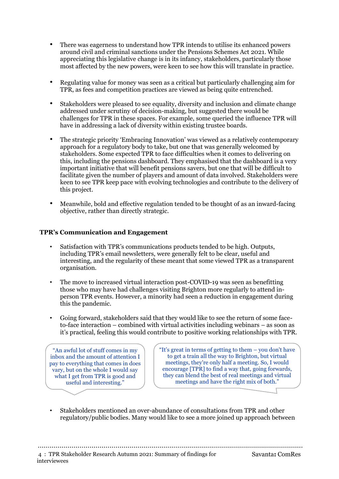- There was eagerness to understand how TPR intends to utilise its enhanced powers around civil and criminal sanctions under the Pensions Schemes Act 2021. While appreciating this legislative change is in its infancy, stakeholders, particularly those most affected by the new powers, were keen to see how this will translate in practice.
- Regulating value for money was seen as a critical but particularly challenging aim for TPR, as fees and competition practices are viewed as being quite entrenched.
- Stakeholders were pleased to see equality, diversity and inclusion and climate change addressed under scrutiny of decision-making, but suggested there would be challenges for TPR in these spaces. For example, some queried the influence TPR will have in addressing a lack of diversity within existing trustee boards.
- The strategic priority 'Embracing Innovation' was viewed as a relatively contemporary approach for a regulatory body to take, but one that was generally welcomed by stakeholders. Some expected TPR to face difficulties when it comes to delivering on this, including the pensions dashboard. They emphasised that the dashboard is a very important initiative that will benefit pensions savers, but one that will be difficult to facilitate given the number of players and amount of data involved. Stakeholders were keen to see TPR keep pace with evolving technologies and contribute to the delivery of this project.
- Meanwhile, bold and effective regulation tended to be thought of as an inward-facing objective, rather than directly strategic.

#### **TPR's Communication and Engagement**

- Satisfaction with TPR's communications products tended to be high. Outputs, including TPR's email newsletters, were generally felt to be clear, useful and interesting, and the regularity of these meant that some viewed TPR as a transparent organisation.
- The move to increased virtual interaction post-COVID-19 was seen as benefitting those who may have had challenges visiting Brighton more regularly to attend inperson TPR events. However, a minority had seen a reduction in engagement during this the pandemic.
- Going forward, stakeholders said that they would like to see the return of some faceto-face interaction – combined with virtual activities including webinars – as soon as it's practical, feeling this would contribute to positive working relationships with TPR.

"An awful lot of stuff comes in my inbox and the amount of attention I pay to everything that comes in does vary, but on the whole I would say what I get from TPR is good and useful and interesting."

"It's great in terms of getting to them – you don't have to get a train all the way to Brighton, but virtual meetings, they're only half a meeting. So, I would encourage [TPR] to find a way that, going forwards, they can blend the best of real meetings and virtual meetings and have the right mix of both."

• Stakeholders mentioned an over-abundance of consultations from TPR and other regulatory/public bodies. Many would like to see a more joined up approach between

4 : TPR Stakeholder Research Autumn 2021: Summary of findings for Savanta**:** ComRes interviewees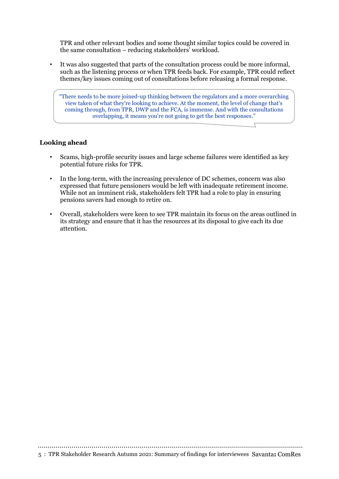TPR and other relevant bodies and some thought similar topics could be covered in the same consultation – reducing stakeholders' workload.

• It was also suggested that parts of the consultation process could be more informal, such as the listening process or when TPR feeds back. For example, TPR could reflect themes/key issues coming out of consultations before releasing a formal response.

"There needs to be more joined-up thinking between the regulators and a more overarching view taken of what they're looking to achieve. At the moment, the level of change that's coming through, from TPR, DWP and the FCA, is immense. And with the consultations overlapping, it means you're not going to get the best responses."

#### **Looking ahead**

- Scams, high-profile security issues and large scheme failures were identified as key potential future risks for TPR.
- In the long-term, with the increasing prevalence of DC schemes, concern was also expressed that future pensioners would be left with inadequate retirement income. While not an imminent risk, stakeholders felt TPR had a role to play in ensuring pensions savers had enough to retire on.
- Overall, stakeholders were keen to see TPR maintain its focus on the areas outlined in its strategy and ensure that it has the resources at its disposal to give each its due attention.

5 : TPR Stakeholder Research Autumn 2021: Summary of findings for interviewees Savanta**:** ComRes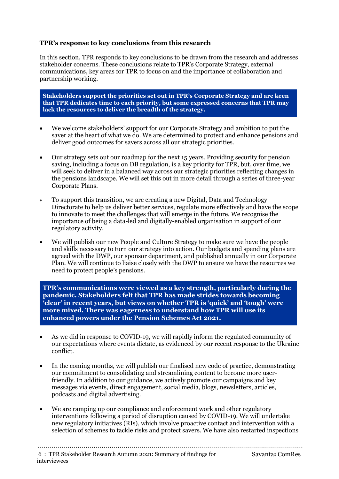#### **TPR's response to key conclusions from this research**

In this section, TPR responds to key conclusions to be drawn from the research and addresses stakeholder concerns. These conclusions relate to TPR's Corporate Strategy, external communications, key areas for TPR to focus on and the importance of collaboration and partnership working.

**Stakeholders support the priorities set out in TPR's Corporate Strategy and are keen that TPR dedicates time to each priority, but some expressed concerns that TPR may lack the resources to deliver the breadth of the strategy.**

- We welcome stakeholders' support for our Corporate Strategy and ambition to put the saver at the heart of what we do. We are determined to protect and enhance pensions and deliver good outcomes for savers across all our strategic priorities.
- Our strategy sets out our roadmap for the next 15 years. Providing security for pension saving, including a focus on DB regulation, is a key priority for TPR, but, over time, we will seek to deliver in a balanced way across our strategic priorities reflecting changes in the pensions landscape. We will set this out in more detail through a series of three-year Corporate Plans.
- To support this transition, we are creating a new Digital, Data and Technology Directorate to help us deliver better services, regulate more effectively and have the scope to innovate to meet the challenges that will emerge in the future. We recognise the importance of being a data-led and digitally-enabled organisation in support of our regulatory activity.
- We will publish our new People and Culture Strategy to make sure we have the people and skills necessary to turn our strategy into action. Our budgets and spending plans are agreed with the DWP, our sponsor department, and published annually in our Corporate Plan. We will continue to liaise closely with the DWP to ensure we have the resources we need to protect people's pensions.

**TPR's communications were viewed as a key strength, particularly during the pandemic. Stakeholders felt that TPR has made strides towards becoming 'clear' in recent years, but views on whether TPR is 'quick' and 'tough' were more mixed. There was eagerness to understand how TPR will use its enhanced powers under the Pension Schemes Act 2021.**

- As we did in response to COVID-19, we will rapidly inform the regulated community of our expectations where events dictate, as evidenced by our recent response to the Ukraine conflict.
- In the coming months, we will publish our finalised new code of practice, demonstrating our commitment to consolidating and streamlining content to become more userfriendly. In addition to our guidance, we actively promote our campaigns and key messages via events, direct engagement, social media, blogs, newsletters, articles, podcasts and digital advertising.
- We are ramping up our compliance and enforcement work and other regulatory interventions following a period of disruption caused by COVID-19. We will undertake new regulatory initiatives (RIs), which involve proactive contact and intervention with a selection of schemes to tackle risks and protect savers. We have also restarted inspections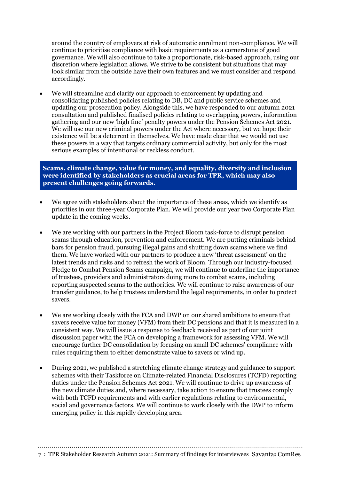around the country of employers at risk of automatic enrolment non-compliance. We will continue to prioritise compliance with basic requirements as a cornerstone of good governance. We will also continue to take a proportionate, risk-based approach, using our discretion where legislation allows. We strive to be consistent but situations that may look similar from the outside have their own features and we must consider and respond accordingly.

We will streamline and clarify our approach to enforcement by updating and consolidating published policies relating to DB, DC and public service schemes and updating our prosecution policy. Alongside this, we have responded to our autumn 2021 consultation and published finalised policies relating to overlapping powers, information gathering and our new 'high fine' penalty powers under the Pension Schemes Act 2021. We will use our new criminal powers under the Act where necessary, but we hope their existence will be a deterrent in themselves. We have made clear that we would not use these powers in a way that targets ordinary commercial activity, but only for the most serious examples of intentional or reckless conduct.

#### **Scams, climate change, value for money, and equality, diversity and inclusion were identified by stakeholders as crucial areas for TPR, which may also present challenges going forwards.**

- We agree with stakeholders about the importance of these areas, which we identify as priorities in our three-year Corporate Plan. We will provide our year two Corporate Plan update in the coming weeks.
- We are working with our partners in the Project Bloom task-force to disrupt pension scams through education, prevention and enforcement. We are putting criminals behind bars for pension fraud, pursuing illegal gains and shutting down scams where we find them. We have worked with our partners to produce a new 'threat assessment' on the latest trends and risks and to refresh the work of Bloom. Through our industry-focused Pledge to Combat Pension Scams campaign, we will continue to underline the importance of trustees, providers and administrators doing more to combat scams, including reporting suspected scams to the authorities. We will continue to raise awareness of our transfer guidance, to help trustees understand the legal requirements, in order to protect savers.
- We are working closely with the FCA and DWP on our shared ambitions to ensure that savers receive value for money (VFM) from their DC pensions and that it is measured in a consistent way. We will issue a response to feedback received as part of our joint discussion paper with the FCA on developing a framework for assessing VFM. We will encourage further DC consolidation by focusing on small DC schemes' compliance with rules requiring them to either demonstrate value to savers or wind up.
- During 2021, we published a stretching climate change strategy and guidance to support schemes with their Taskforce on Climate-related Financial Disclosures (TCFD) reporting duties under the Pension Schemes Act 2021. We will continue to drive up awareness of the new climate duties and, where necessary, take action to ensure that trustees comply with both TCFD requirements and with earlier regulations relating to environmental, social and governance factors. We will continue to work closely with the DWP to inform emerging policy in this rapidly developing area.

7 : TPR Stakeholder Research Autumn 2021: Summary of findings for interviewees Savanta**:** ComRes